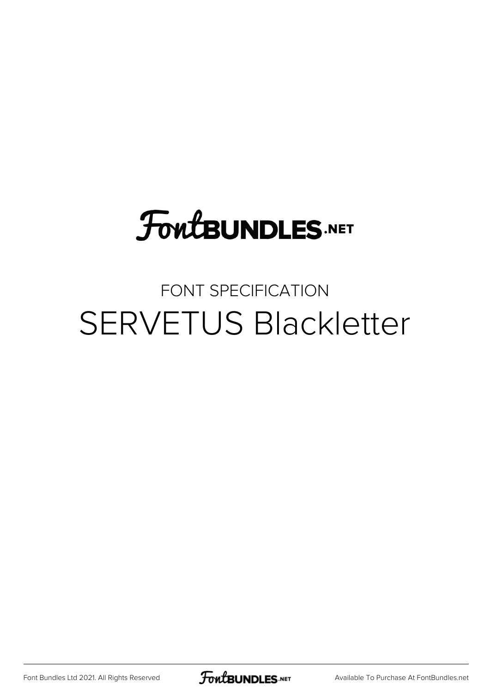# **FoutBUNDLES.NET**

## FONT SPECIFICATION SERVETUS Blackletter

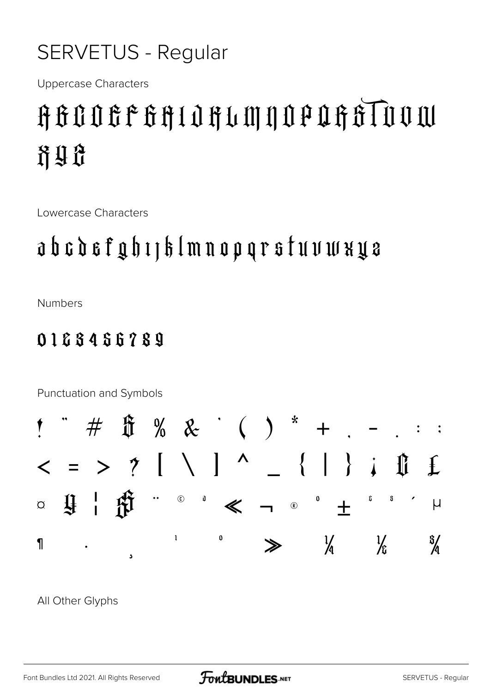### **SERVETUS - Regular**

**Uppercase Characters** 

## AGOOGFGAIOHUMNOPOGATUUM 计引导

Lowercase Characters

### a b c d e f g h 1 | k l m n o p q r s f u v w x y e

**Numbers** 

#### 0168456789



All Other Glyphs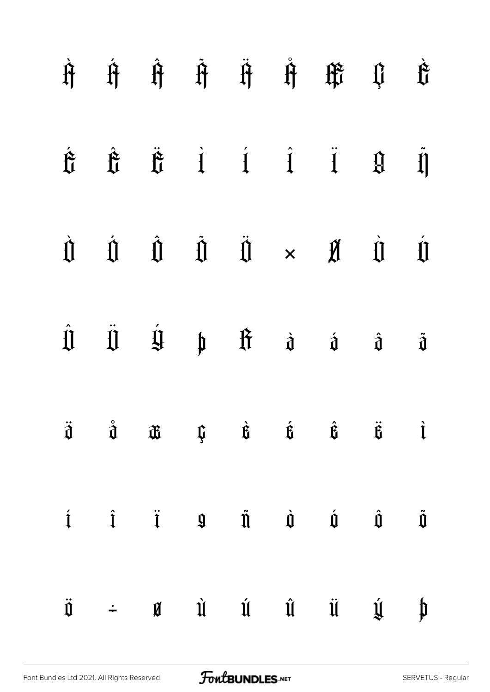|                     |  |  | $\begin{array}{ccccccccccccc} \hat{H} & \hat{H} & \hat{H} & \hat{H} & \hat{H} & \hat{H} & \hat{H} & \hat{H} & \hat{H} & \hat{H} & \hat{H} & \hat{H} & \hat{H} & \hat{H} & \hat{H} & \hat{H} & \hat{H} & \hat{H} & \hat{H} & \hat{H} & \hat{H} & \hat{H} & \hat{H} & \hat{H} & \hat{H} & \hat{H} & \hat{H} & \hat{H} & \hat{H} & \hat{H} & \hat{H} & \hat{H} & \hat{H} & \hat{H} & \hat{H} &$   |                                                                                          |
|---------------------|--|--|------------------------------------------------------------------------------------------------------------------------------------------------------------------------------------------------------------------------------------------------------------------------------------------------------------------------------------------------------------------------------------------------|------------------------------------------------------------------------------------------|
|                     |  |  | $\begin{array}{ccccccccccccc} \mathbf{\hat{E}} & \mathbf{\hat{E}} & \mathbf{\hat{E}} & \mathbf{i} & \mathbf{j} & \mathbf{i} & \mathbf{0} & \mathbf{0} & \mathbf{0} \end{array}$                                                                                                                                                                                                                |                                                                                          |
|                     |  |  | $\begin{array}{ccccccccccccccccc} \hat{\mathbb{I}} & \hat{\mathbb{I}} & \hat{\mathbb{I}} & \hat{\mathbb{I}} & \hat{\mathbb{I}} & \hat{\mathbb{I}} & \times & \hat{\mathbb{I}} & \hat{\mathbb{I}} & \hat{\mathbb{I}} & \end{array}$                                                                                                                                                             | $\label{eq:4} \begin{array}{c} \dot{\textbf{u}} \\ \textbf{v} \\ \textbf{v} \end{array}$ |
|                     |  |  | $\begin{array}{ccccccccccccccccc} \hat{\Pi} & \hat{\Pi} & \hat{\Pi} & \hat{\Pi} & \mathfrak{h} & \hat{\Pi} & \hat{\mathfrak{d}} & \hat{\mathfrak{d}} & \hat{\mathfrak{d}} & \end{array}$                                                                                                                                                                                                       | $\ddot{\hat{\mathbf{J}}}$                                                                |
| $\ddot{\mathbf{d}}$ |  |  | $\hat{\mathbf{d}}$ $\hat{\mathbf{d}}$ $\hat{\mathbf{u}}$ $\hat{\mathbf{u}}$ $\hat{\mathbf{u}}$ $\hat{\mathbf{u}}$ $\hat{\mathbf{u}}$ $\hat{\mathbf{u}}$ $\hat{\mathbf{u}}$ $\hat{\mathbf{u}}$                                                                                                                                                                                                  |                                                                                          |
|                     |  |  | $\begin{array}{ccccccccccccccccc} \hat{1} & \hat{1} & \hat{1} & \hat{1} & \hat{1} & \hat{1} & \hat{1} & \hat{1} & \hat{1} & \hat{1} & \hat{1} & \hat{1} & \hat{1} & \hat{1} & \hat{1} & \hat{1} & \hat{1} & \hat{1} & \hat{1} & \hat{1} & \hat{1} & \hat{1} & \hat{1} & \hat{1} & \hat{1} & \hat{1} & \hat{1} & \hat{1} & \hat{1} & \hat{1} & \hat{1} & \hat{1} & \hat{1} & \hat{1} & \hat{1}$ |                                                                                          |
| $\ddot{\mathbf{U}}$ |  |  | $\div$ <b>a</b> $\vec{u}$ $\vec{u}$ $\vec{u}$ $\vec{u}$ $\vec{y}$                                                                                                                                                                                                                                                                                                                              | $\begin{matrix} \begin{matrix} 1 \\ 1 \end{matrix} \end{matrix}$                         |